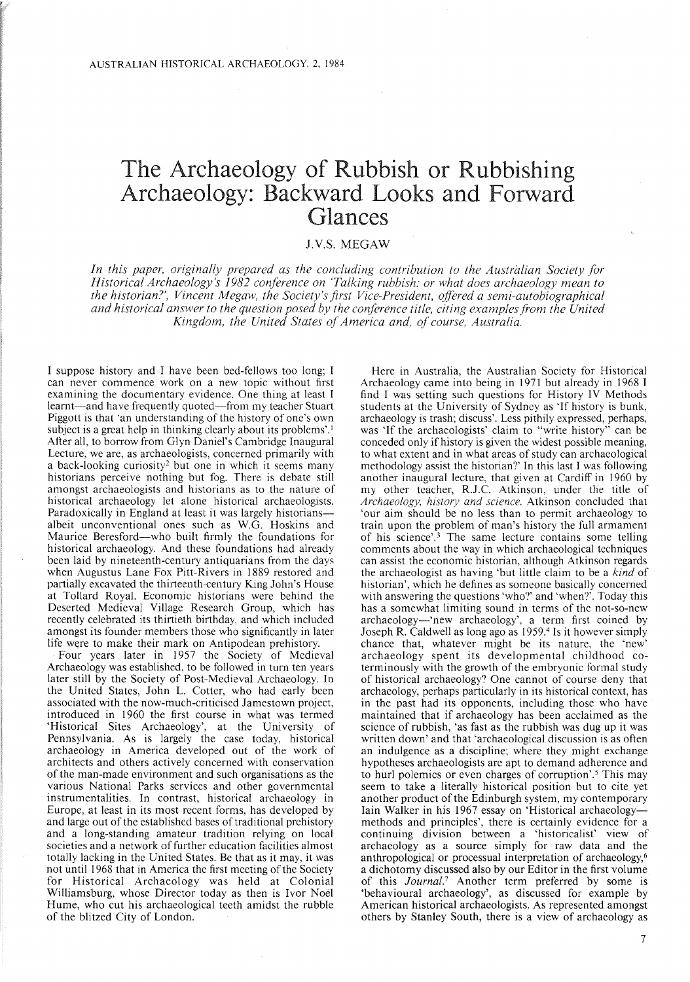## The Archaeology of Rubbish or Rubbishing Archaeology: Backward Looks and Forward Glances

## J.v.s. MEGAW

*In this paper, originally prepared as the concluding contribution to the Australian Society for Historical Archaeology's* 1982 *conference on 'Talking rubbish: or what does archaeology mean to the historian?', Vincent Megaw, the Society's first Vice-President, offered a semi-autobiographical and historical answer to the question posed by the conference title, citing examplesfrom the United Kingdom, the United States ofAmerica and, of course, Australia.*

I suppose history and I have been bed-fellows too long; I can never commence work on a new topic without first examining the documentary evidence. One thing at least I learnt-and have frequently quoted-from my teacher Stuart Piggott is that 'an understanding of the history of one's own subject is a great help in thinking clearly about its problems'.<sup>1</sup> After all, to borrow from Glyn Daniel's Cambridge Inaugural Lecture, we are, as archaeologists, concerned primarily with a back-looking curiosity<sup>2</sup> but one in which it seems many historians perceive nothing but fog. There is debate still amongst archaeologists and historians as to the nature of historical archaeology let alone historical archaeologists. Paradoxically in England at least it was largely historiansalbeit unconventional ones such as W.G. Hoskins and Maurice Beresford-who built firmly the foundations for historical archaeology. And these foundations had already been laid by nineteenth-century antiquarians from the days when Augustus Lane Fox Pitt-Rivers in 1889 restored and partially excavated the thirteenth-century King John's House at Tollard Royal. Economic historians were behind the Deserted Medieval Village Research Group, which has recently celebrated its thirtieth birthday, and which included amongst its founder members those who significantly in later life were to make their mark on Antipodean prehistory.

Four years later in 1957 the Society of Medieval Archaeology was established, to be followed in turn ten years later still by the Society of Post-Medieval Archaeology. In the United States, John L. Cotter, who had early been associated with the now-much-criticised Jamestown project, introduced in 1960 the first course in what was termed 'Historical Sites Archaeology', at the University of Pennsylvania. As is largely the case today, historical archaeology in America developed out of the work of architects and others actively concerned with conservation of the man-made environment and such organisations as the various National Parks services and other governmental instrumentalities. In contrast, historical archaeology in Europe, at least in its most recent forms, has developed by and large out of the established bases of traditional prehistory and a long-standing amateur tradition relying on local societies and a network of further education facilities almost totally lacking in the United States. Be that as it may, it was not until 1968 that in America the first meeting of the Society for Historical Archaeology was held at Colonial Williamsburg, whose Director today as then is Ivor Noël Hume, who cut his archaeological teeth amidst the rubble of the blitzed City of London.

Here in Australia, the Australian Society for Historical Archaeology came into being in 1971 but already in 1968 I find I was setting such questions for History IV Methods students at the University of Sydney as 'If history is bunk, archaeology is trash; discuss'. Less pithily expressed, perhaps, was 'If the archaeologists' claim to "write history" can be conceded only if history is given the widest possible meaning, to what extent and in what areas of study can archaeological methodology assist the historian?' In this last I was following another inaugural lecture, that given at Cardiff in 1960 by my other teacher, R.J.C. Atkinson, under the title of *Archaeology, history and science.* Atkinson concluded that 'our aim should be no less than to permit archaeology to train upon the problem of man's history the full armament of his science'.<sup>3</sup> The same lecture contains some telling comments about the way in which archaeological techniques can assist the economic historian, although Atkinson regards the archaeologist as having 'but little claim to be a *kind* of historian', which he defines as someone basically concerned with answering the questions 'who?' and 'when?'. Today this has a somewhat limiting sound in terms of the not-so-new archaeology-'new archaeology', a term first coined by Joseph R. Caldwell as long ago as 1959.4 Is it however simply chance that, whatever might be its nature, the 'new' archaeology spent its developmental childhood coterminously with the growth of the embryonic formal study of historical archaeology? One cannot of course deny that archaeology, perhaps particularly in its historical context, has in the past had its opponents, including those who have maintained that if archaeology has been acclaimed as the science of rubbish, 'as fast as the rubbish was dug up it was written down' and that 'archaeological discussion is as often an indulgence as a discipline; where they might exchange hypotheses archaeologists are apt to demand adherence and to hurl polemics or even charges of corruption'.<sup>5</sup> This may seem to take a literally historical position but to cite yet another product of the Edinburgh system, my contemporary lain Walker in his 1967 essay on 'Historical archaeologymethods and principles', there is certainly evidence for a continuing division between a 'historicalist' view of archaeology as a source simply for raw data and the anthropological or processual interpretation of archaeology,<sup>6</sup> a dichotomy discussed also by our Editor in the first volume of this *Journal.'* Another term preferred by some is 'behavioural archaeology', as discussed for example by American historical archaeologists. As represented amongst others by Stanley South, there is a view of archaeology as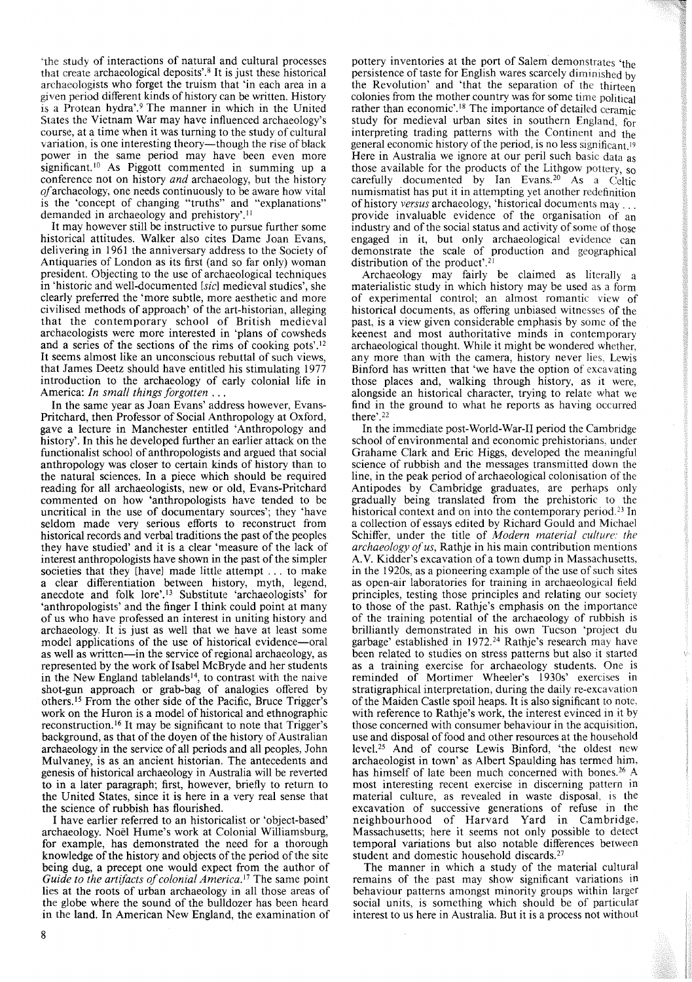'the study of interactions of natural and cultural processes that create archaeological deposits'.<sup>8</sup> It is just these historical archaeologists who forget the truism that 'in each area in a given period different kinds of history can be written. History is a Protean hydra'.<sup>9</sup> The manner in which in the United States the Vietnam War may have influenced archaeology's course, at a time when it was turning to the study of cultural variation, is one interesting theory-though the rise of black power in the same period may have been even more significant.<sup>10</sup> As Piggott commented in summing up a conference not on history *and* archaeology, but the history *of*archaeology, one needs continuously to be aware how vital is the 'concept of changing "truths" and "explanations" demanded in archaeology and prehistory'.<sup>11</sup>

It may however still be instructive to pursue further some historical attitudes. Walker also cites Dame Joan Evans, delivering in 1961 the anniversary address to the Society of Antiquaries of London as its first (and so far only) woman president. Objecting to the use of archaeological techniques in 'historic and well-documented *[sic]* medieval studies', she clearly preferred the 'more subtle, more aesthetic and more civilised methods of approach' of the art-historian, alleging that the contemporary school of British medieval archaeologists were more interested in 'plans of cowsheds and a series of the sections of the rims of cooking pots'.<sup>12</sup> It seems almost like an unconscious rebuttal of such views, that James Deetz should have entitled his stimulating 1977 introduction to the archaeology of early colonial life in America: *In small things forgotten .* . .

**In** the same year as Joan Evans' address however, Evans-Pritchard, then Professor of Social Anthropology at Oxford, gave a lecture in Manchester entitled 'Anthropology and history'. **In** this he developed further an earlier attack on the functionalist school of anthropologists and argued that social anthropology was closer to certain kinds of history than to the natural sciences. **In** a piece which should be required reading for all archaeologists, new or old, Evans-Pritchard commented on how 'anthropologists have tended to be uncritical in the use of documentary sources'; they 'have seldom made very serious efforts to reconstruct from historical records and verbal traditions the past of the peoples they have studied' and it is a clear 'measure of the lack of interest anthropologists have shown in the past of the simpler societies that they [have] made little attempt ... to make a clear differentiation between history, myth, legend, anecdote and folk 10re'.13 Substitute 'archaeologists' for 'anthropologists' and the finger I think could point at many of us who have professed an interest in uniting history and archaeology. It is just as well that we have at least some model applications of the use of historical evidence—oral as well as written—in the service of regional archaeology, as represented by the work of Isabel McBryde and her students in the New England tablelands<sup>14</sup>, to contrast with the naive shot-gun approach or grab-bag of analogies offered by others." From the other side of the Pacific, Bruce Trigger's work on the Huron is a model of historical and ethnographic reconstruction.<sup>16</sup> It may be significant to note that Trigger's background, as that of the doyen of the history of Australian archaeology in the service of all periods and all peoples, John Mulvaney, is as an ancient historian. The antecedents and genesis of historical archaeology in Australia will be reverted to in a later paragraph; first, however, briefly to return to the United States, since it is here in a very real sense that the science of rubbish has flourished.

I have earlier referred to an historicalist or 'object-based' archaeology. Noel Hume's work at Colonial Williamsburg, for example, has demonstrated the need for a thorough knowledge of the history and objects of the period of the site being dug, a precept one would expect from the author of *Guide to the artifacts of colonial America.<sup>17</sup> The same point* lies at the roots of urban archaeology in all those areas of the globe where the sound of the bulldozer has been heard in the land. **In** American New England, the examination of pottery inventories at the port of Salem demonstrates 'the persistence of taste for English wares scarcely diminished by the Revolution' and 'that the separation of the thirteen colonies from the mother country was for some time political rather than economic'.<sup>18</sup> The importance of detailed ceramic study for medieval urban sites in southern England, for interpreting trading patterns with the Continent and the general economic history of the period, is no less significant.<sup>19</sup> Here in Australia we ignore at our peril such basic data as those available for the products of the Lithgow pottery, so carefully documented by Ian Evans.<sup>20</sup> As a Celtic numismatist has put it in attempting yet another redefinition of history *versus* archaeology, 'historical documents may ... provide invaluable evidence of the organisation of an industry and of the social status and activity of some of those engaged in it, but only archaeological evidence can demonstrate the scale of production and geographical distribution of the product'.<sup>21</sup>

Archaeology may fairly be claimed as literally a materialistic study in which history may be used as a form of experimental control; an almost romantic view of historical documents, as offering unbiased witnesses of the past, is a view given considerable emphasis by some of the keenest and most authoritative minds in contemporary archaeological thought. While it might be wondered whether, any more than with the camera, history never lies, Lewis Binford has written that 'we have the option of excavating those places and, walking through history, as it were, alongside an historical character, trying to relate what we find in the ground to what he reports as having occurred there'.<sup>22</sup>

**In** the immediate post-World-War-II period the Cambridge school of environmental and economic prehistorians, under Grahame Clark and Eric Higgs, developed the meaningful science of rubbish and the messages transmitted down the line, in the peak period of archaeological colonisation of the Antipodes by Cambridge graduates, are perhaps only gradually being translated from the prehistoric to the historical context and on into the contemporary period.<sup>23</sup> In a collection of essays edited by Richard Gould and Michael Schiffer, under the title of *Modern material culture: the archaeology ofus,* Rathje in his main contribution mentions A.V. Kidder's excavation of a town dump in Massachusetts, in the 1920s, as a pioneering example of the use of such sites as open-air laboratories for training in archaeological field principles, testing those principles and relating our society to those of the past. Rathje's emphasis on the importance of the training potential of the archaeology of rubbish is brilliantly demonstrated in his own Tucson 'project du garbage' established in 1972.24 Rathje's research may have been related to studies on stress patterns but also it started as a training exercise for archaeology students. One is reminded of Mortimer Wheeler's 1930s' exercises in stratigraphical interpretation, during the daily re-excavation of the Maiden Castle spoil heaps. It is also significant to note, with reference to Rathje's work, the interest evinced in it by those concerned with consumer behaviour in the acquisition, use and disposal of food and other resources at the household level. <sup>25</sup> And of course Lewis Binford, 'the oldest new archaeologist in town' as Albert Spaulding has termed him, has himself of late been much concerned with bones.<sup>26</sup> A most interesting recent exercise in discerning pattern in material culture, as revealed in waste disposal, is the excavation of successive generations of refuse in the neighbourhood of Harvard Yard in Cambridge, Massachusetts; here it seems not only possible to detect temporal variations but also notable differences between student and domestic household discards.<sup>27</sup>

The manner in which a study of the material cultural remains of the past may show significant variations in behaviour patterns amongst minority groups within larger social units, is something which should be of particular interest to us here in Australia. But it is a process not without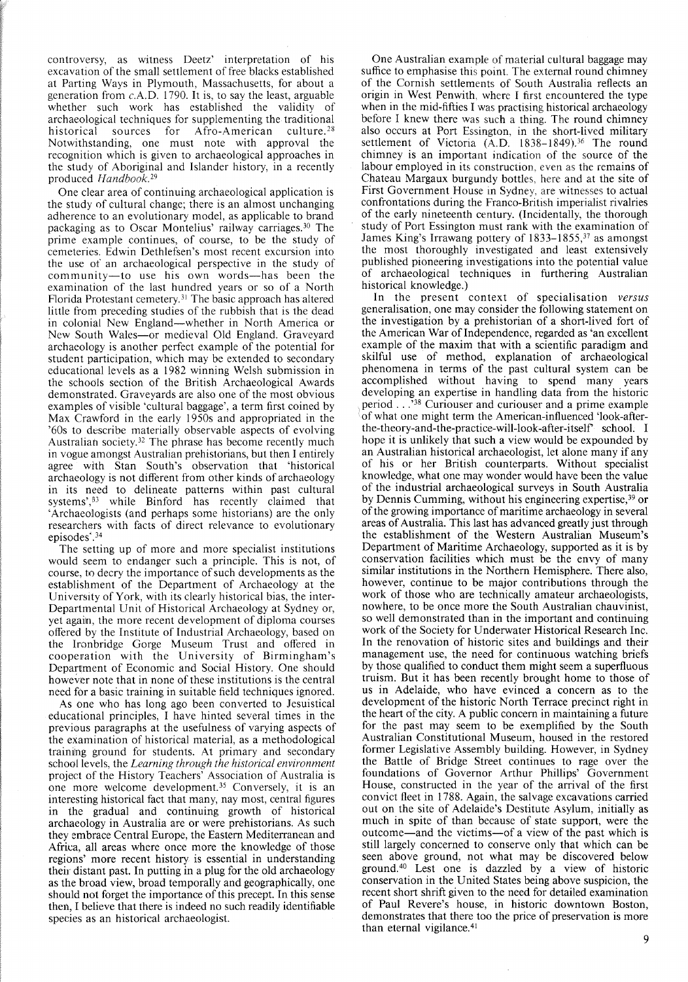controversy, as witness Deetz' interpretation of his excavation of the small settlement of free blacks established at Parting Ways in Plymouth, Massachusetts, for about a generation from c.A.D. 1790. It is, to say the least, arguable whether such work has established the validity of archaeological techniques for supplementing the traditional historical sources for Afro-American culture.<sup>28</sup> Notwithstanding, one must note with approval the recognition which is given to archaeological approaches in the study of Aboriginal and Islander history, in a recently produced *Handbook*.<sup>29</sup>

One clear area of continuing archaeological application is the study of cultural change; there is an almost unchanging adherence to an evolutionary model, as applicable to brand packaging as to Oscar Montelius' railway carriages.<sup>30</sup> The prime example continues, of course, to be the study of cemeteries. Edwin Dethlefsen's most recent excursion into the use of an archaeological perspective in the study of community-to use his own words-has been the examination of the last hundred years or so of a North Florida Protestant cemetery.<sup>31</sup> The basic approach has altered little from preceding studies of the rubbish that is the dead in colonial New England—whether in North America or New South Wales~or medieval Old England. Graveyard archaeology is another perfect example of the potential for student participation, which may be extended to secondary educational levels as a 1982 winning Welsh submission in the schools section of the British Archaeological Awards demonstrated. Graveyards are also one of the most obvious examples of visible 'cultural baggage', a term first coined by Max Crawford in the early 1950s and appropriated in the '60s to describe materially observable aspects of evolving Australian society.<sup>32</sup> The phrase has become recently much in vogue amongst Australian prehistorians, but then I entirely agree with Stan South's observation that 'historical archaeology is not different from other kinds of archaeology in its need to delineate patterns within past cultural systems', $B_3$  while Binford has recently claimed that 'Archaeologists (and perhaps some historians) are the only researchers with facts of direct relevance to evolutionary episodes<sup>\*</sup>.<sup>34</sup>

The setting up of more and more specialist institutions would seem to endanger such a principle. This is not, of course, to decry the importance of such developments as the establishment of the Department of Archaeology at the University of York, with its clearly historical bias, the inter-Departmental Unit of Historical Archaeology at Sydney or, yet again, the more recent development of diploma courses offered by the Institute of Industrial Archaeology, based on the Ironbridge Gorge Museum Trust and offered in cooperation with the University of Birmingham's Department of Economic and Social History. One should however note that in none of these institutions is the central need for a basic training in suitable field techniques ignored.

As one who has long ago been converted to Jesuistical educational principles, I have hinted several times in the previous paragraphs at the usefulness of varying aspects of the examination of historical material, as a methodological training ground for students. At primary and secondary school levels, the *Learning through the historical environment* project of the History Teachers' Association of Australia is one more welcome development.<sup>35</sup> Conversely, it is an interesting historical fact that many, nay most, central figures in the gradual and continuing growth of historical archaeology in Australia are or were prehistorians. As such they embrace Central Europe, the Eastern Mediterranean and Africa, all areas where once more the knowledge of those regions' more recent history. is essential in understanding their distant past. In putting in a plug for the old archaeology as the broad view, broad temporally and geographically, one should not forget the importance of this precept. In this sense them, I believe that there is indeed no such readily identifiable species as an historical archaeologist.

One Australian example of material cultural baggage may suffice to emphasise this point. The external round chimney of the Cornish settlements of South Australia reflects an origin in West Penwith, where I first encountered the type when in the mid-fifties I was practising historical archaeology before I knew there was such a thing. The round chimney also occurs at Port Essington, in the short-lived military settlement of Victoria (A.D. 1838-1849).<sup>36</sup> The round chimney is an important indication of the source of the labour employed in its construction, even as the remains of Chateau Margaux burgundy bottles, here and at the site of First Government House in Sydney. are witnesses to actual confrontations during the Franco-British imperialist rivalries of the early nineteenth century. (Incidentally, the thorough study of Port Essington must rank with the examination of James King's Irrawang pottery of 1833–1855,<sup>37</sup> as amongst the most thoroughly investigated and least extensively published pioneering investigations into the potential value of archaeological techniques in furthering Australian historical knowledge.)

In the present context of specialisation *versus* generalisation, one may consider the following statement on the investigation by a prehistorian of a short-lived fort of the American War of Independence, regarded as 'an excellent example of the maxim that with a scientific paradigm and skilful use of method, explanation of archaeological phenomena in terms of the past cultural system can be accomplished without having to spend many years developing an expertise in handling data from the historic period ...'38 Curiouser and curiouser and <sup>a</sup> prime example of what one might term the American-influenced 'look-afterthe-theory-and-the-practice-will-look-after-itseIr school. I hope it is unlikely that such a view would be expounded by an Australian historical archaeologist, let alone many if any of his or her British counterparts. Without specialist knowledge, what one may wonder would have been the value of the industrial archaeological surveys in South Australia by Dennis Cumming, without his engineering expertise,<sup>39</sup> or ofthe growing importance of maritime archaeology in several areas of Australia. This last has advanced greatly just through the establishment of the Western Australian Museum's Department of Maritime Archaeology, supported as it is by conservation facilities which must be the envy of many similar institutions in the Northern Hemisphere. There also, however, continue to be major contributions through the work of those who are technically amateur archaeologists, nowhere, to be once more the South Australian chauvinist, so well demonstrated than in the important and continuing work of the Society for Underwater Historical Research Inc. In the renovation of historic sites and buildings and their management use, the need for continuous watching briefs by those qualified to conduct them might seem a superfluous truism. But it has been recently brought home to those of us in Adelaide, who have evinced a concern as to the development of the historic North Terrace precinct right in the heart of the city. A public concern in maintaining a future for the past may seem to be exemplified by the South Australian Constitutional Museum, housed in the restored former Legislative Assembly building. However, in Sydney the Battle of Bridge Street continues to rage over the foundations of Governor Arthur Phillips' Government House, constructed in the year of the arrival of the first convict fleet in 1788. Again, the salvage excavations carried out on the site of Adelaide's Destitute Asylum, initially as much in spite of than because of state support, were the outcome-and the victims-of a view of the past which is still largely concerned to conserve only that which can be seen above ground, not what may be discovered below ground.<sup>40</sup> Lest one is dazzled by a view of historic conservation in the United States being above suspicion, the recent short shrift given to the need for detailed examination of Paul Revere's house, in historic downtown Boston, demonstrates that there too the price of preservation is more than eternal vigilance. $41$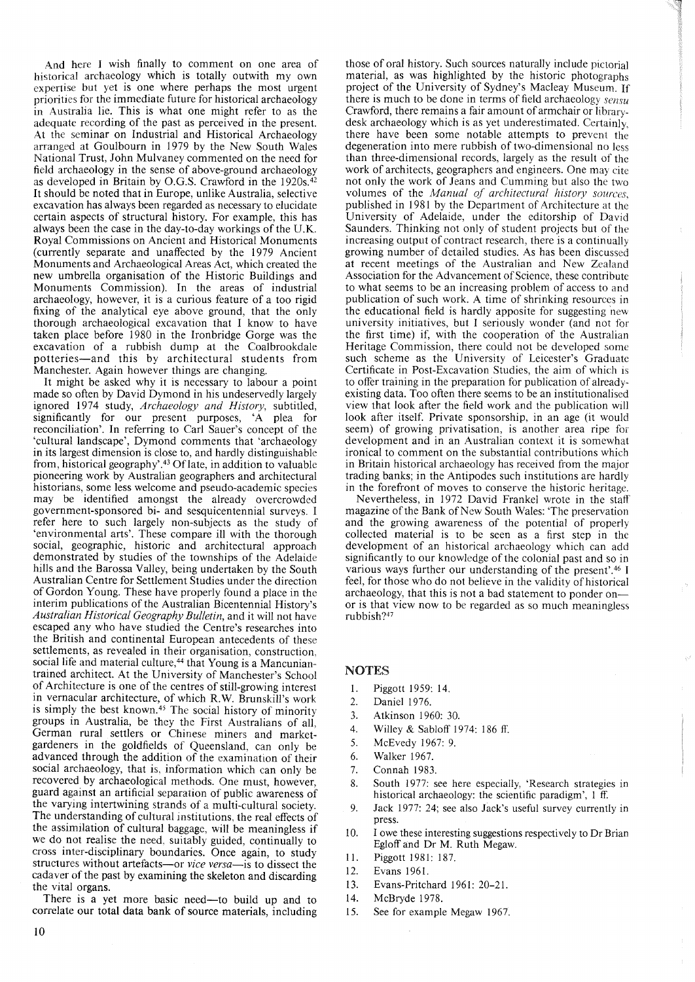And here I wish finally to comment on one area of historical archaeology which is totally outwith my own expertise but yet is one where perhaps the most urgent priorities for the immediate future for historical archaeology in Australia lie. This is what one might refer to as the adequate recording of the past as perceived in the present. At the seminar on Industrial and Historical Archaeology arranged at Goulbourn in 1979 by the New South Wales National Trust, John Mulvaney commented on the need for field archaeology in the sense of above-ground archaeology as developed in Britain by O.G.S. Crawford in the 1920s.42 It should be noted that in Europe, unlike Australia, selective excavation has always been regarded as necessary to elucidate certain aspects of structural history. For example, this has always been the case in the day-to-day workings of the U.K. Royal Commissions on Ancient and Historical Monuments (currently separate and unaffected by the 1979 Ancient Monuments and Archaeological Areas Act, which created the new umbrella organisation of the Historic Buildings and Monuments Commission). In the areas of industrial archaeology, however, it is a curious feature of a too rigid fixing of the analytical eye above ground, that the only thorough archaeological excavation that I know to have taken place before 1980 in the Ironbridge Gorge was the excavation of a rubbish dump at the Coalbrookdale potteries-and this by architectural students from Manchester. Again however things are changing.

It might be asked why it is necessary to labour a point made so often by David Dymond in his undeservedly largely ignored 1974 study, *Archaeology and History,* subtitled, significantly for our present purposes, 'A plea for reconciliation'. In referring to Carl Sauer's concept of the 'cultural landscape', Dymond comments that 'archaeology in its largest dimension is close to, and hardly distinguishable from, historical geography'.<sup>43</sup> Of late, in addition to valuable pioneering work by Australian geographers and architectural historians, some less welcome and pseudo-academic species may be identified amongst the already overcrowded government-sponsored bi- and sesquicentennial surveys. I refer here to such largely non-subjects as the study of 'environmental arts'. These compare ill with the thorough social, geographic, historic and architectural approach demonstrated by studies of the townships of the Adelaide hills and the Barossa Valley, being undertaken by the South Australian Centre for Settlement Studies under the direction of Gordon Young. These have properly found a place in the interim publications of the Australian Bicentennial History's *Australian Historical Geography Bulletin,* and it will not have escaped any who have studied the Centre's researches into the British and continental European antecedents of these settlements, as revealed in their organisation, construction, social life and material culture,<sup>44</sup> that Young is a Mancuniantrained architect. At the University of Manchester's School of Architecture is one of the centres of still-growing interest in vernacular architecture, of which R.W. Brunskill's work is simply the best known.<sup>45</sup> The social history of minority groups in Australia, be they the First Australians of all, German rural settlers or Chinese miners and marketgardeners in the goldfields of Queensland, can only be advanced through the addition of the examination of their social archaeology, that is, information which can only be recovered by archaeological methods. One must, however, guard against an artificial separation of public awareness of the varying intertwining strands of a multi-cultural society. The understanding of cultural institutions, the real effects of the assimilation of cultural baggage, will be meaningless if we do not realise the need, suitably guided, continually to cross inter-disciplinary boundaries. Once again, to study structures without artefacts-or *vice versa-is* to dissect the cadaver of the past by examining the skeleton and discarding the vital organs.

There is a yet more basic need—to build up and to correlate our total data bank of source materials, including

those of oral history. Such sources naturally include pictorial material, as was highlighted by the historic photographs project of the University of Sydney's Macleay Museum. If there is much to be done in terms of field archaeology *sensu* Crawford, there remains a fair amount of armchair or librarydesk archaeology which is as yet underestimated. Certainly, there have been some notable attempts to prevent the degeneration into mere rubbish of two-dimensional no less than three-dimensional records, largely as the result of the work of architects, geographers and engineers. One may cite not only the work of Jeans and Cumming but also the two volumes of the *Manual of architectural history sources,* published in 1981 by the Department of Architecture at the University of Adelaide, under the editorship of David Saunders. Thinking not only of student projects but of the increasing output of contract research, there is a continually growing number of detailed studies. As has been discussed at recent meetings of the Australian and New Zealand Association for the Advancement of Science, these contribute to what seems to be an increasing problem of access to and publication of such work. A time of shrinking resources in the educational field is hardly apposite for suggesting new university initiatives, but I seriously wonder (and not for the first time) if, with the cooperation of the Australian Heritage Commission, there could not be developed some such scheme as the University of Leicester's Graduate Certificate in Post-Excavation Studies, the aim of which is to offer training in the preparation for publication of alreadyexisting data. Too often there seems to be an institutionalised view that look after the field work and the publication will look after itself. Private sponsorship, in an age (it would seem) of growing privatisation, is another area ripe for development and in an Australian context it is somewhat ironical to comment on the substantial contributions which in Britain historical archaeology has received from the major trading banks; in the Antipodes such institutions are hardly in the forefront of moves to conserve the historic heritage.

Nevertheless, in 1972 David Frankel wrote in the staff magazine of the Bank of New South Wales: 'The preservation and the growing awareness of the potential of properly collected material is to be seen as a first step in the development of an historical archaeology which can add significantly to our knowledge of the colonial past and so in various ways further our understanding of the present'.<sup>46</sup> I feel, for those who do not believe in the validity of historical archaeology, that this is not a bad statement to ponder onor is that view now to be regarded as so much meaningless rubbish?47

## **NOTES**

- I. Piggott 1959: 14.
- 2. Daniel 1976.
- 3. Atkinson 1960: 30.
- 4. Willey & Sabloff 1974: 186 ff.
- 5. McEvedy 1967: 9.
- 6. Walker 1967.
- 7. Connah 1983.
- 8. South 1977: see here especially, 'Research strategies in historical archaeology: the scientific paradigm', 1 ff.
- 9. Jack 1977: 24; see also Jack's useful survey currently in press.
- 10. I owe these interesting suggestions respectively to Dr Brian Egloffand Dr M. Ruth Megaw.
- 11. Piggott 1981: 187.
- 12. Evans 1961.
- 13. Evans-Pritchard 1961: 20-21.
- 14. McBryde 1978.
- 15. See for example Megaw 1967.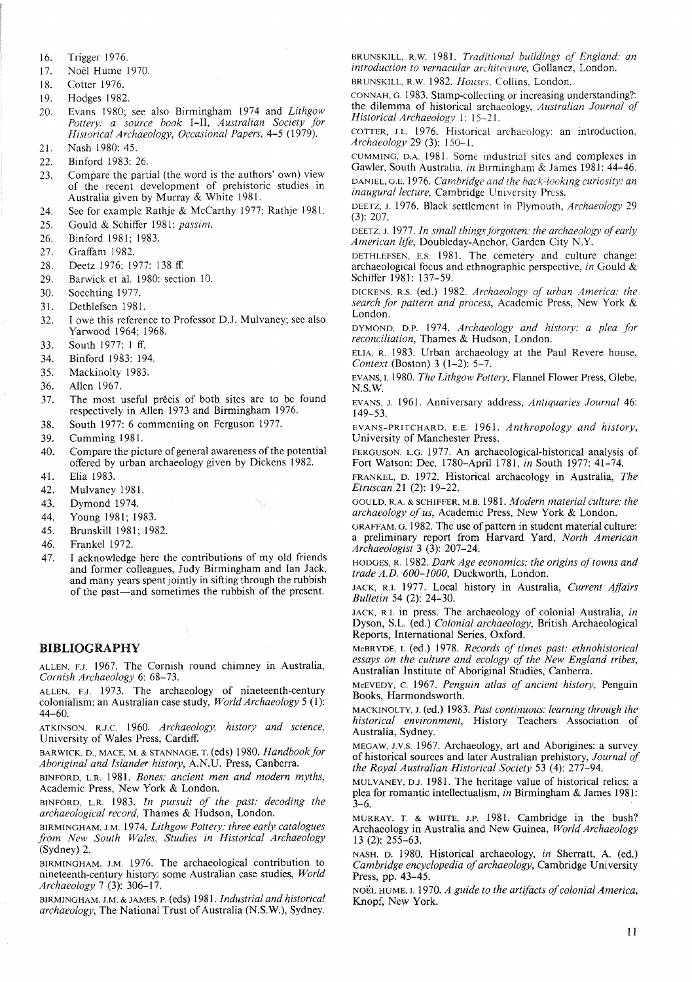- 16. Trigger 1976.
- 17. Noel Hume 1970.
- 18. Cotter 1976.
- 19. Hodges 1982.
- 20. Evans 1980; see also Birmingham 1974 and *Lithgow Pottery: a source book* I-II, *Australian Society for Historical Archaeology, Occasional Papers,* 4-5 (1979).
- 21. Nash 1980: 45.
- 22. Binford 1983: 26.
- 23. Compare the partial (the word is the authors' own) view of the recent development of prehistoric studies in Australia given by Murray & White 1981.
- 24. See for example Rathje & McCarthy 1977; Rathje 1981.
- 25. Gould & Schiffer 1981: *passim.*
- 26. Binford 1981; 1983.
- 27. Graffam 1982.
- 28. Deetz 1976; 1977: 138 ff.
- 29. Barwick et al. 1980: section 10.
- 30. Soechting 1977.
- 31. Dethlefsen 1981.
- 32. I owe this reference to Professor D.J. Mulvaney; see also Yarwood 1964; 1968.
- 33. South 1977: 1 ff.
- 34. Binford 1983: 194.
- 35. Mackinolty 1983.
- 36. Allen 1967.
- 37. The most useful précis of both sites are to be found respectively in Allen 1973 and Birmingham 1976.
- 38. South 1977: 6 commenting on Ferguson 1977.
- 39. Cumming 1981.
- 40. Compare the picture of general awareness of the potential offered by urban archaeology given by Dickens 1982.
- 41. Elia 1983.
- 42. Mulvaney 1981.
- 43. Dymond 1974.
- 44. Young 1981; 1983.
- 45. Brunskill 1981; 1982.
- 46. Frankel 1972.
- 47. I acknowledge here the contributions of myoid friends and former colleagues, Judy Birmingham and Ian Jack, and many years spent jointly in sifting through the rubbish of the past-and sometimes the rubbish of the present.

## BIBLIOGRAPHY

ALLEN, F.J. 1967. The Cornish round chimney in Australia, *Cornish Archaeology* 6: 68-73.

ALLEN, F.J. 1973. The archaeology of nineteenth-century colonialism: an Australian case study, *World Archaeology* 5 (1): 44-60.

ATKINSON, R.J.C. 1960. *Archaeology, history and science,* University of Wales Press, Cardiff.

BARWICK, D., MACE, M. & STANNAGE, T. (eds) 1980. *Handbook for Aboriginal and Islander history,* A.N.U. Press, Canberra.

BINFORD. L.R. 1981. *Bones: ancient men and modern myths,* Academic Press, New York & London.

BINFORD, L.R. 1983. *In pursuit of the past: decoding the archaeological record,* Thames & Hudson, London.

BIRMINGHAM, J.M. 1974. *Lithgow Pottery: three early catalogues from New South Wales, Studies in Historical Archaeology* (Sydney) 2.

BIRMINGHAM, J.M. 1976. The archaeological contribution to nineteenth-century history: some Australian case studies, *World Archaeology* 7 (3): 306-17.

BIRMINGHAM, J.M. & JAMES, P. (eds) 1981. *Industrial and historical* archaeology, The National Trust of Australia (N.S.W.), Sydney.

BRUNSKILL, R.W. 1981. *Traditional buildings of England: an introduction to vernacular architecture,* Gollancz, London. BRUNSKILL, R.W. 1982. *Houses,* Collins, London.

CONNAH, G. 1983. Stamp-collecting or increasing understanding?: the dilemma of historical archaeology, *Australian Journal of Historical Archaeology* I: 15-21.

COTTER, J.L. 1976. Historical archaeology: an introduction, *Archaeology* 29 (3): 150-1.

CUMMING, D.A. 1981. Some industrial sites and complexes in Gawler, South Australia, *in* Birmingham & James 1981: 44-46. DANIEL, G.E. 1976. *Cambridge and the back-looking curiosity: an inaugural lecture,* Cambridge University Press.

DEETZ, J. 1976. Black settlement in Plymouth, *Archaeology 29* (3): 207.

DEETZ, J. 1977. *In small things forgotten: the archaeology ofearly American life,* Doubleday-Anchor, Garden City N.Y.

DETHLEFSEN, E.S. 1981. The cemetery and culture change: archaeological focus and ethnographic perspective, *in* Gould & Schiffer 1981: 137-59.

DICKENS, R.S. (ed.) 1982. *Archaeology of urban America: the search for pattern and process,* Academic Press, New York & London.

DYMOND, D.P. 1974. *Archaeology and history: a plea for reconciliation,* Thames & Hudson, London.

ELlA, R. 1983. Urban archaeology at the Paul Revere house, *Context* (Boston) 3 (1-2): 5-7,

EVANS. I. 1980. *The Lithgow Pottery,* Flannel Flower Press, Glebe, N.S.W.

EVANS, J. 1961. Anniversary address, *Antiquaries Journal* 46: 149-53.

EVANS-PRITCHARD, E.E. 1961. *Anthropology and history,* University of Manchester Press.

FERGUSON, L.G. 1977. An archaeological-historical analysis of Fort Watson: Dec. 1780-April 1781, *in* South 1977: 41-74.

FRANKEL, D. 1972. Historical archaeology in Australia, *The Etruscan* 21 (2): 19-22.

GOULD, R.A. & SCHIFFER. M.B. 1981. *Modern material culture: the archaeology of us,* Academic Press, New York & London.

GRAFFAM, G. 1982. The use of pattern in student material culture: a preliminary report from Harvard Yard, *North American Archaeologist* 3 (3): 207-24.

HODGES, R. 1982. *Dark Age economics: the origins of towns and trade A.D. 600-/000,* Duckworth, London.

JACK, R.I. 1977. Local history in Australia, *Current Affairs Bulletin* 54 (2): 24-30,

JACK, R.I. in press. The archaeology of colonial Australia, *in* Dyson, S.L. (ed.) *Colonial archaeology,* British Archaeological Reports, International Series, Oxford.

McBRYDE, I. (ed.) 1978. *Records of times past: ethnohistorical essays on the culture and ecology of the New England tribes,* Australian Institute of Aboriginal Studies, Canberra.

McEVEDY, C. 1967. *Penguin atlas of ancient history,* Penguin Books, Harmondsworth.

MACKlNOLTY, J. (ed.) 1983. *Past continuous: learning through the historical environment,* History Teachers Association of Australia, Sydney.

MEGAW, J.V.S. 1967. Archaeology, art and Aborigines: a survey of historical sources and later Australian prehistory, *Journal of the Royal Australian Historical Society* 53 (4): 277-94.

MULVANEY, D.J. 1981. The heritage value of historical relics: a plea for romantic intellectualism, *in* Birmingham & James 1981: 3-6.

MURRAY, T. & WHITE, J.P. 1981. Cambridge in the bush? Archaeology in Australia and New Guinea, *World Archaeology* 13 (2): 255-63.

NASH, D. 1980. Historical archaeology, *in* Sherratt, A. (ed.) *Cambridge encyclopedia of archaeology*, Cambridge University Press, pp. 43-45.

NOËL HUME, I. 1970. A guide to the artifacts of colonial America, Knopf, New York.